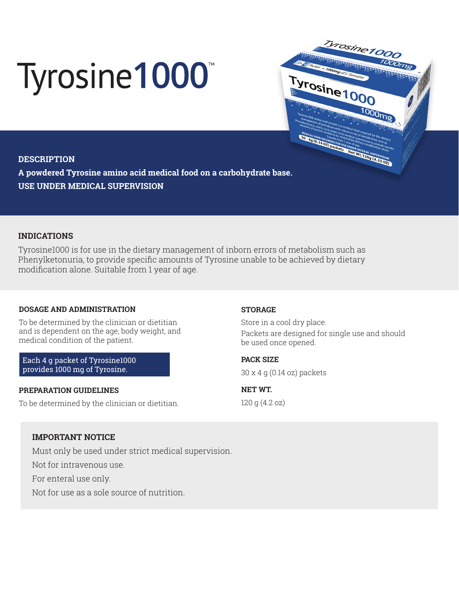# Tyrosine1000



## **DESCRIPTION**

**A powdered Tyrosine amino acid medical food on a carbohydrate base. USE UNDER MEDICAL SUPERVISION**

# **INDICATIONS**

Tyrosine1000 is for use in the dietary management of inborn errors of metabolism such as Phenylketonuria, to provide specific amounts of Tyrosine unable to be achieved by dietary modification alone. Suitable from 1 year of age.

### **DOSAGE AND ADMINISTRATION**

To be determined by the clinician or dietitian and is dependent on the age, body weight, and medical condition of the patient.

Each 4 g packet of Tyrosine1000 provides 1000 mg of Tyrosine.

### **PREPARATION GUIDELINES**

To be determined by the clinician or dietitian.

### **STORAGE**

Store in a cool dry place. Packets are designed for single use and should be used once opened.

**PACK SIZE**  30 x 4 g (0.14 oz) packets

**NET WT.**  120 g (4.2 oz)

# **IMPORTANT NOTICE**

Must only be used under strict medical supervision.

Not for intravenous use.

For enteral use only.

Not for use as a sole source of nutrition.